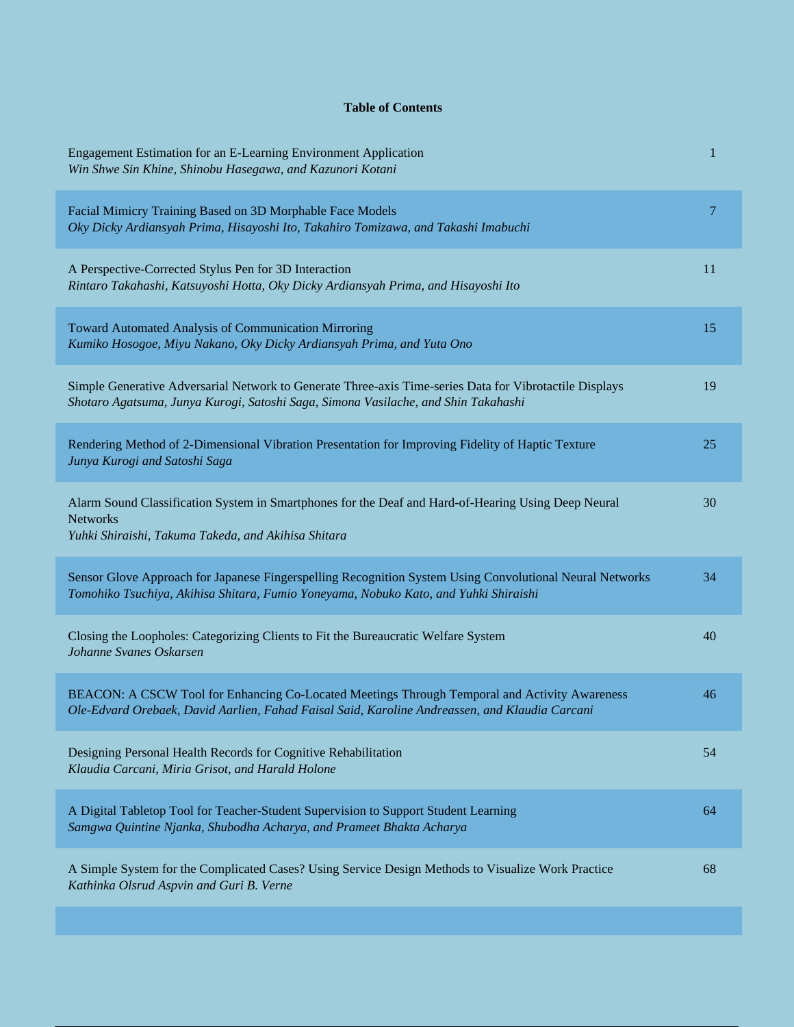## **Table of Contents**

| Engagement Estimation for an E-Learning Environment Application<br>Win Shwe Sin Khine, Shinobu Hasegawa, and Kazunori Kotani                                                                     | 1  |
|--------------------------------------------------------------------------------------------------------------------------------------------------------------------------------------------------|----|
| Facial Mimicry Training Based on 3D Morphable Face Models<br>Oky Dicky Ardiansyah Prima, Hisayoshi Ito, Takahiro Tomizawa, and Takashi Imabuchi                                                  | 7  |
| A Perspective-Corrected Stylus Pen for 3D Interaction<br>Rintaro Takahashi, Katsuyoshi Hotta, Oky Dicky Ardiansyah Prima, and Hisayoshi Ito                                                      | 11 |
| Toward Automated Analysis of Communication Mirroring<br>Kumiko Hosogoe, Miyu Nakano, Oky Dicky Ardiansyah Prima, and Yuta Ono                                                                    | 15 |
| Simple Generative Adversarial Network to Generate Three-axis Time-series Data for Vibrotactile Displays<br>Shotaro Agatsuma, Junya Kurogi, Satoshi Saga, Simona Vasilache, and Shin Takahashi    | 19 |
| Rendering Method of 2-Dimensional Vibration Presentation for Improving Fidelity of Haptic Texture<br>Junya Kurogi and Satoshi Saga                                                               | 25 |
| Alarm Sound Classification System in Smartphones for the Deaf and Hard-of-Hearing Using Deep Neural<br><b>Networks</b><br>Yuhki Shiraishi, Takuma Takeda, and Akihisa Shitara                    | 30 |
| Sensor Glove Approach for Japanese Fingerspelling Recognition System Using Convolutional Neural Networks<br>Tomohiko Tsuchiya, Akihisa Shitara, Fumio Yoneyama, Nobuko Kato, and Yuhki Shiraishi | 34 |
| Closing the Loopholes: Categorizing Clients to Fit the Bureaucratic Welfare System<br>Johanne Svanes Oskarsen                                                                                    | 40 |
| BEACON: A CSCW Tool for Enhancing Co-Located Meetings Through Temporal and Activity Awareness<br>Ole-Edvard Orebaek, David Aarlien, Fahad Faisal Said, Karoline Andreassen, and Klaudia Carcani  | 46 |
| Designing Personal Health Records for Cognitive Rehabilitation<br>Klaudia Carcani, Miria Grisot, and Harald Holone                                                                               | 54 |
| A Digital Tabletop Tool for Teacher-Student Supervision to Support Student Learning<br>Samgwa Quintine Njanka, Shubodha Acharya, and Prameet Bhakta Acharya                                      | 64 |
| A Simple System for the Complicated Cases? Using Service Design Methods to Visualize Work Practice<br>Kathinka Olsrud Aspvin and Guri B. Verne                                                   | 68 |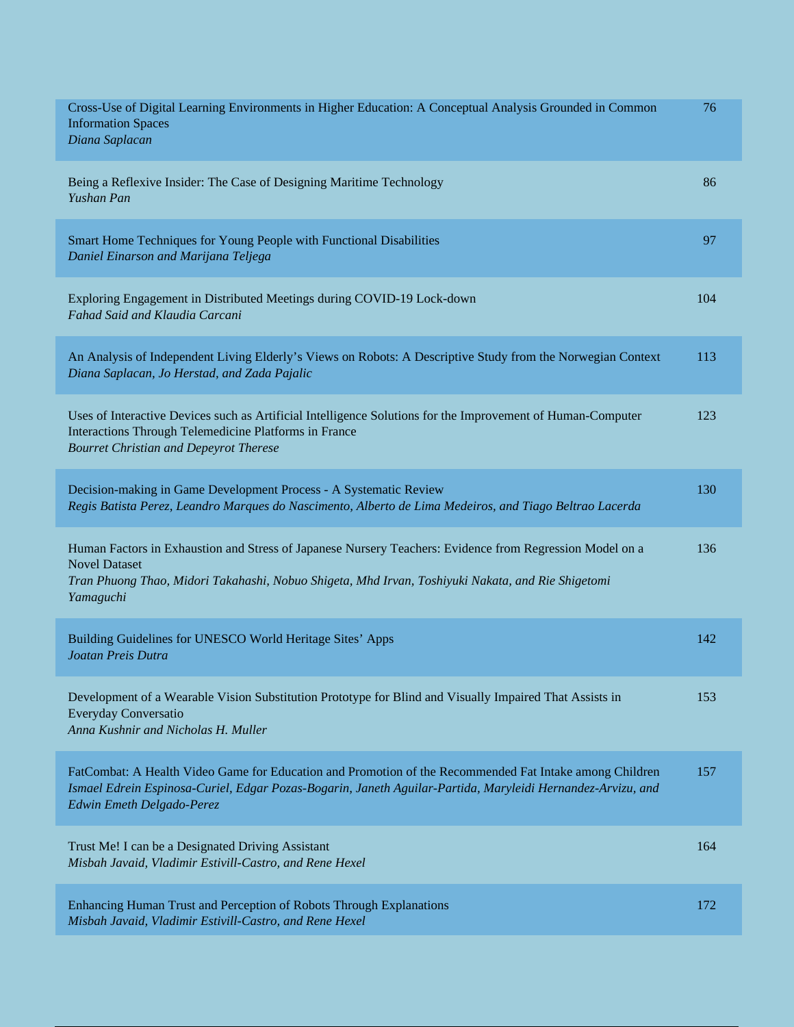| Cross-Use of Digital Learning Environments in Higher Education: A Conceptual Analysis Grounded in Common<br><b>Information Spaces</b><br>Diana Saplacan                                                                                             | 76  |
|-----------------------------------------------------------------------------------------------------------------------------------------------------------------------------------------------------------------------------------------------------|-----|
| Being a Reflexive Insider: The Case of Designing Maritime Technology<br>Yushan Pan                                                                                                                                                                  | 86  |
| Smart Home Techniques for Young People with Functional Disabilities<br>Daniel Einarson and Marijana Teljega                                                                                                                                         | 97  |
| Exploring Engagement in Distributed Meetings during COVID-19 Lock-down<br>Fahad Said and Klaudia Carcani                                                                                                                                            | 104 |
| An Analysis of Independent Living Elderly's Views on Robots: A Descriptive Study from the Norwegian Context<br>Diana Saplacan, Jo Herstad, and Zada Pajalic                                                                                         | 113 |
| Uses of Interactive Devices such as Artificial Intelligence Solutions for the Improvement of Human-Computer<br>Interactions Through Telemedicine Platforms in France<br><b>Bourret Christian and Depeyrot Therese</b>                               | 123 |
| Decision-making in Game Development Process - A Systematic Review<br>Regis Batista Perez, Leandro Marques do Nascimento, Alberto de Lima Medeiros, and Tiago Beltrao Lacerda                                                                        | 130 |
| Human Factors in Exhaustion and Stress of Japanese Nursery Teachers: Evidence from Regression Model on a<br><b>Novel Dataset</b><br>Tran Phuong Thao, Midori Takahashi, Nobuo Shigeta, Mhd Irvan, Toshiyuki Nakata, and Rie Shigetomi<br>Yamaguchi  | 136 |
| Building Guidelines for UNESCO World Heritage Sites' Apps<br>Joatan Preis Dutra                                                                                                                                                                     | 142 |
| Development of a Wearable Vision Substitution Prototype for Blind and Visually Impaired That Assists in<br>Everyday Conversatio<br>Anna Kushnir and Nicholas H. Muller                                                                              | 153 |
| FatCombat: A Health Video Game for Education and Promotion of the Recommended Fat Intake among Children<br>Ismael Edrein Espinosa-Curiel, Edgar Pozas-Bogarin, Janeth Aguilar-Partida, Maryleidi Hernandez-Arvizu, and<br>Edwin Emeth Delgado-Perez | 157 |
| Trust Me! I can be a Designated Driving Assistant<br>Misbah Javaid, Vladimir Estivill-Castro, and Rene Hexel                                                                                                                                        | 164 |
| Enhancing Human Trust and Perception of Robots Through Explanations<br>Misbah Javaid, Vladimir Estivill-Castro, and Rene Hexel                                                                                                                      | 172 |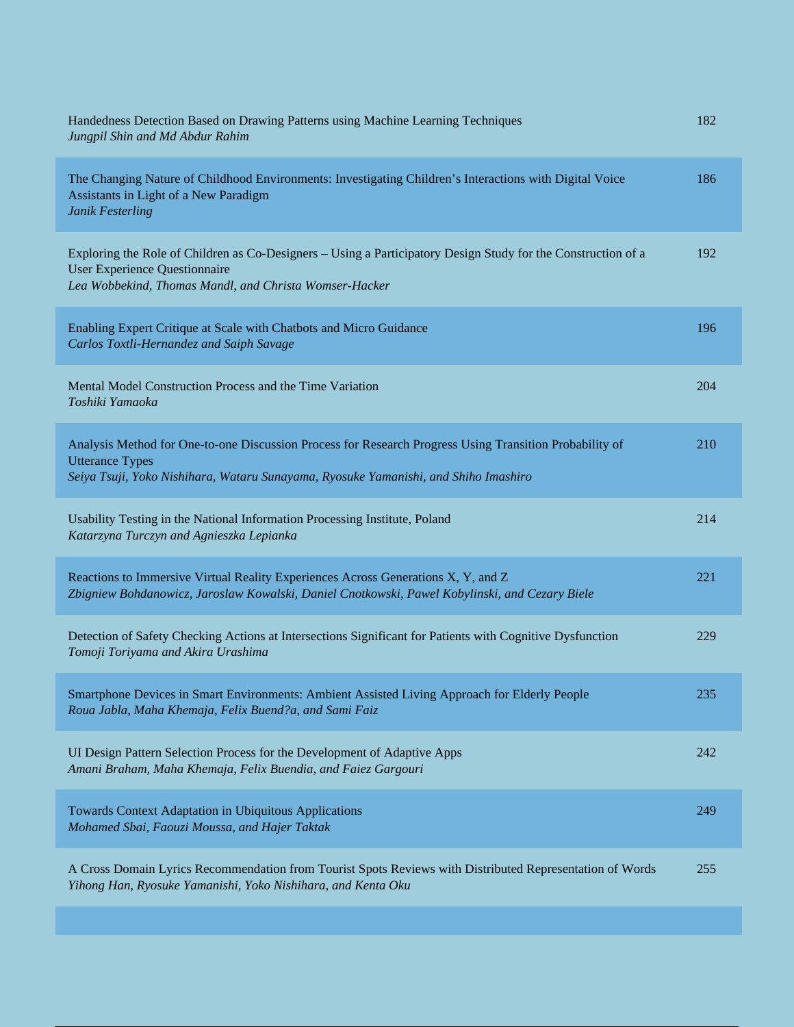| Handedness Detection Based on Drawing Patterns using Machine Learning Techniques<br>Jungpil Shin and Md Abdur Rahim                                                                                                      | 182 |
|--------------------------------------------------------------------------------------------------------------------------------------------------------------------------------------------------------------------------|-----|
| The Changing Nature of Childhood Environments: Investigating Children's Interactions with Digital Voice<br>Assistants in Light of a New Paradigm<br>Janik Festerling                                                     | 186 |
| Exploring the Role of Children as Co-Designers – Using a Participatory Design Study for the Construction of a<br>User Experience Questionnaire<br>Lea Wobbekind, Thomas Mandl, and Christa Womser-Hacker                 | 192 |
| Enabling Expert Critique at Scale with Chatbots and Micro Guidance<br>Carlos Toxtli-Hernandez and Saiph Savage                                                                                                           | 196 |
| Mental Model Construction Process and the Time Variation<br>Toshiki Yamaoka                                                                                                                                              | 204 |
| Analysis Method for One-to-one Discussion Process for Research Progress Using Transition Probability of<br><b>Utterance Types</b><br>Seiya Tsuji, Yoko Nishihara, Wataru Sunayama, Ryosuke Yamanishi, and Shiho Imashiro | 210 |
| Usability Testing in the National Information Processing Institute, Poland<br>Katarzyna Turczyn and Agnieszka Lepianka                                                                                                   | 214 |
| Reactions to Immersive Virtual Reality Experiences Across Generations X, Y, and Z<br>Zbigniew Bohdanowicz, Jaroslaw Kowalski, Daniel Cnotkowski, Pawel Kobylinski, and Cezary Biele                                      | 221 |
| Detection of Safety Checking Actions at Intersections Significant for Patients with Cognitive Dysfunction<br>Tomoji Toriyama and Akira Urashima                                                                          | 229 |
| Smartphone Devices in Smart Environments: Ambient Assisted Living Approach for Elderly People<br>Roua Jabla, Maha Khemaja, Felix Buend?a, and Sami Faiz                                                                  | 235 |
| UI Design Pattern Selection Process for the Development of Adaptive Apps<br>Amani Braham, Maha Khemaja, Felix Buendia, and Faiez Gargouri                                                                                | 242 |
| <b>Towards Context Adaptation in Ubiquitous Applications</b><br>Mohamed Sbai, Faouzi Moussa, and Hajer Taktak                                                                                                            | 249 |
| A Cross Domain Lyrics Recommendation from Tourist Spots Reviews with Distributed Representation of Words<br>Yihong Han, Ryosuke Yamanishi, Yoko Nishihara, and Kenta Oku                                                 | 255 |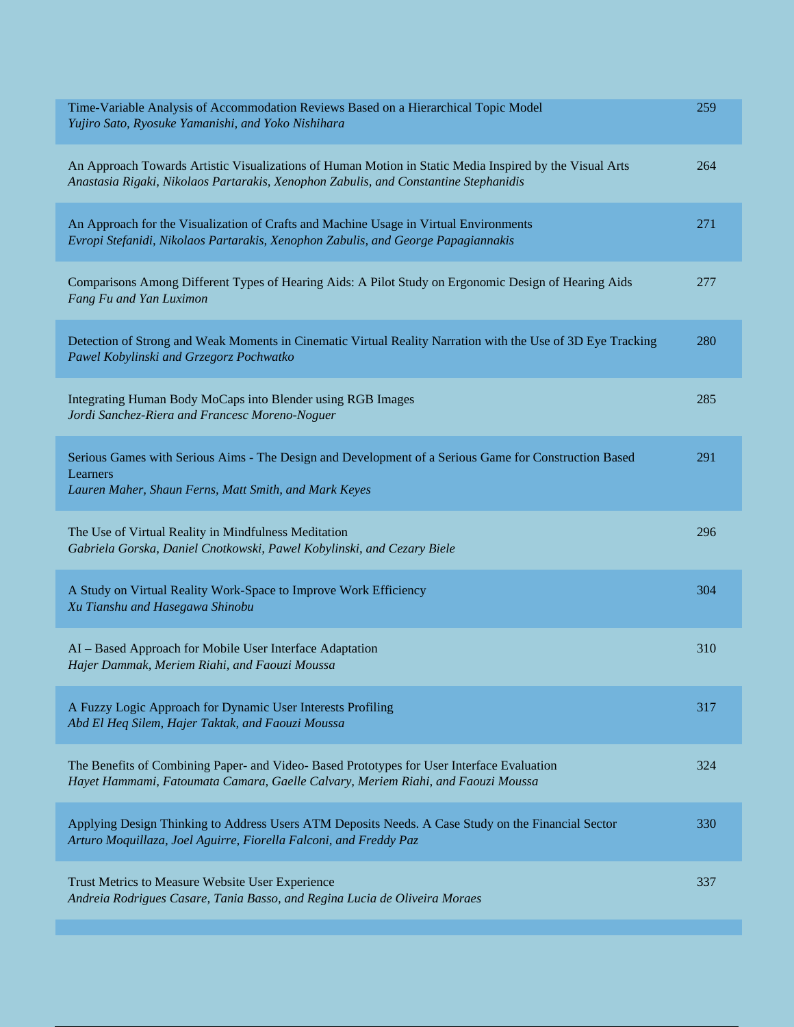| Time-Variable Analysis of Accommodation Reviews Based on a Hierarchical Topic Model<br>Yujiro Sato, Ryosuke Yamanishi, and Yoko Nishihara                                                       | 259 |
|-------------------------------------------------------------------------------------------------------------------------------------------------------------------------------------------------|-----|
| An Approach Towards Artistic Visualizations of Human Motion in Static Media Inspired by the Visual Arts<br>Anastasia Rigaki, Nikolaos Partarakis, Xenophon Zabulis, and Constantine Stephanidis | 264 |
| An Approach for the Visualization of Crafts and Machine Usage in Virtual Environments<br>Evropi Stefanidi, Nikolaos Partarakis, Xenophon Zabulis, and George Papagiannakis                      | 271 |
| Comparisons Among Different Types of Hearing Aids: A Pilot Study on Ergonomic Design of Hearing Aids<br>Fang Fu and Yan Luximon                                                                 | 277 |
| Detection of Strong and Weak Moments in Cinematic Virtual Reality Narration with the Use of 3D Eye Tracking<br>Pawel Kobylinski and Grzegorz Pochwatko                                          | 280 |
| Integrating Human Body MoCaps into Blender using RGB Images<br>Jordi Sanchez-Riera and Francesc Moreno-Noguer                                                                                   | 285 |
| Serious Games with Serious Aims - The Design and Development of a Serious Game for Construction Based<br>Learners<br>Lauren Maher, Shaun Ferns, Matt Smith, and Mark Keyes                      | 291 |
| The Use of Virtual Reality in Mindfulness Meditation<br>Gabriela Gorska, Daniel Cnotkowski, Pawel Kobylinski, and Cezary Biele                                                                  | 296 |
| A Study on Virtual Reality Work-Space to Improve Work Efficiency<br>Xu Tianshu and Hasegawa Shinobu                                                                                             | 304 |
| AI - Based Approach for Mobile User Interface Adaptation<br>Hajer Dammak, Meriem Riahi, and Faouzi Moussa                                                                                       | 310 |
| A Fuzzy Logic Approach for Dynamic User Interests Profiling<br>Abd El Heq Silem, Hajer Taktak, and Faouzi Moussa                                                                                | 317 |
| The Benefits of Combining Paper- and Video- Based Prototypes for User Interface Evaluation<br>Hayet Hammami, Fatoumata Camara, Gaelle Calvary, Meriem Riahi, and Faouzi Moussa                  | 324 |
| Applying Design Thinking to Address Users ATM Deposits Needs. A Case Study on the Financial Sector<br>Arturo Moquillaza, Joel Aguirre, Fiorella Falconi, and Freddy Paz                         | 330 |
| Trust Metrics to Measure Website User Experience<br>Andreia Rodrigues Casare, Tania Basso, and Regina Lucia de Oliveira Moraes                                                                  | 337 |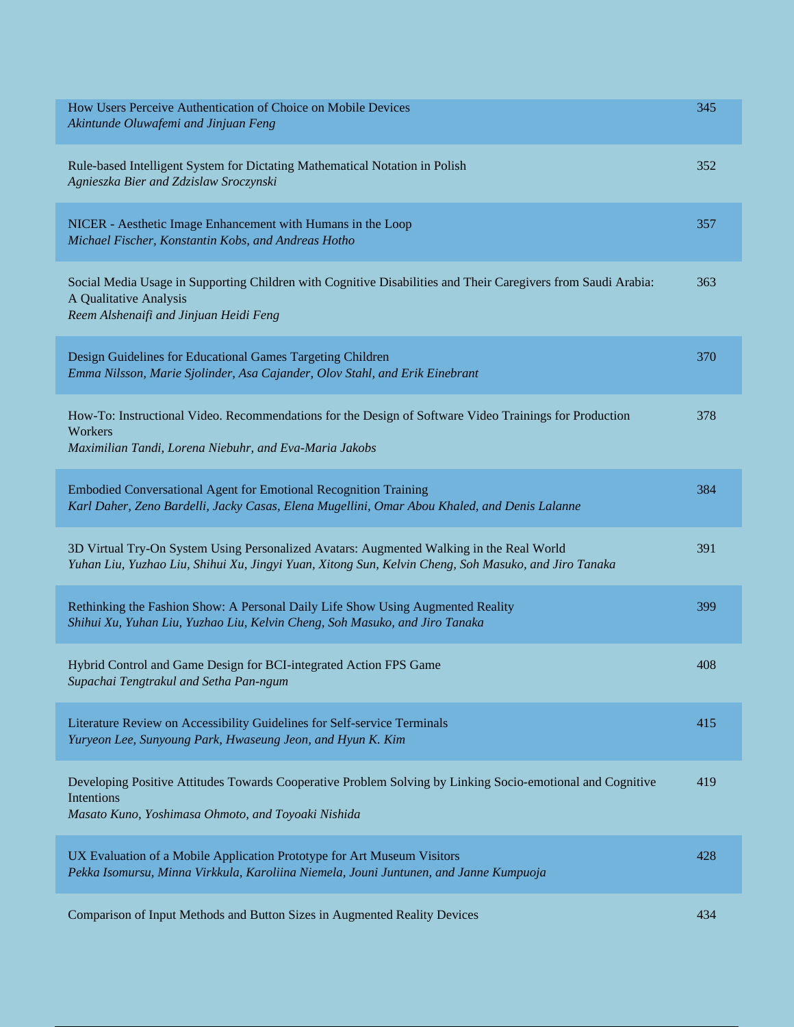| How Users Perceive Authentication of Choice on Mobile Devices<br>Akintunde Oluwafemi and Jinjuan Feng                                                                                            | 345 |
|--------------------------------------------------------------------------------------------------------------------------------------------------------------------------------------------------|-----|
| Rule-based Intelligent System for Dictating Mathematical Notation in Polish<br>Agnieszka Bier and Zdzislaw Sroczynski                                                                            | 352 |
| NICER - Aesthetic Image Enhancement with Humans in the Loop<br>Michael Fischer, Konstantin Kobs, and Andreas Hotho                                                                               | 357 |
| Social Media Usage in Supporting Children with Cognitive Disabilities and Their Caregivers from Saudi Arabia:<br>A Qualitative Analysis<br>Reem Alshenaifi and Jinjuan Heidi Feng                | 363 |
| Design Guidelines for Educational Games Targeting Children<br>Emma Nilsson, Marie Sjolinder, Asa Cajander, Olov Stahl, and Erik Einebrant                                                        | 370 |
| How-To: Instructional Video. Recommendations for the Design of Software Video Trainings for Production<br>Workers<br>Maximilian Tandi, Lorena Niebuhr, and Eva-Maria Jakobs                      | 378 |
| <b>Embodied Conversational Agent for Emotional Recognition Training</b><br>Karl Daher, Zeno Bardelli, Jacky Casas, Elena Mugellini, Omar Abou Khaled, and Denis Lalanne                          | 384 |
| 3D Virtual Try-On System Using Personalized Avatars: Augmented Walking in the Real World<br>Yuhan Liu, Yuzhao Liu, Shihui Xu, Jingyi Yuan, Xitong Sun, Kelvin Cheng, Soh Masuko, and Jiro Tanaka | 391 |
| Rethinking the Fashion Show: A Personal Daily Life Show Using Augmented Reality<br>Shihui Xu, Yuhan Liu, Yuzhao Liu, Kelvin Cheng, Soh Masuko, and Jiro Tanaka                                   | 399 |
| Hybrid Control and Game Design for BCI-integrated Action FPS Game<br>Supachai Tengtrakul and Setha Pan-ngum                                                                                      | 408 |
| Literature Review on Accessibility Guidelines for Self-service Terminals<br>Yuryeon Lee, Sunyoung Park, Hwaseung Jeon, and Hyun K. Kim                                                           | 415 |
| Developing Positive Attitudes Towards Cooperative Problem Solving by Linking Socio-emotional and Cognitive<br>Intentions<br>Masato Kuno, Yoshimasa Ohmoto, and Toyoaki Nishida                   | 419 |
| UX Evaluation of a Mobile Application Prototype for Art Museum Visitors<br>Pekka Isomursu, Minna Virkkula, Karoliina Niemela, Jouni Juntunen, and Janne Kumpuoja                                 | 428 |
| Comparison of Input Methods and Button Sizes in Augmented Reality Devices                                                                                                                        | 434 |